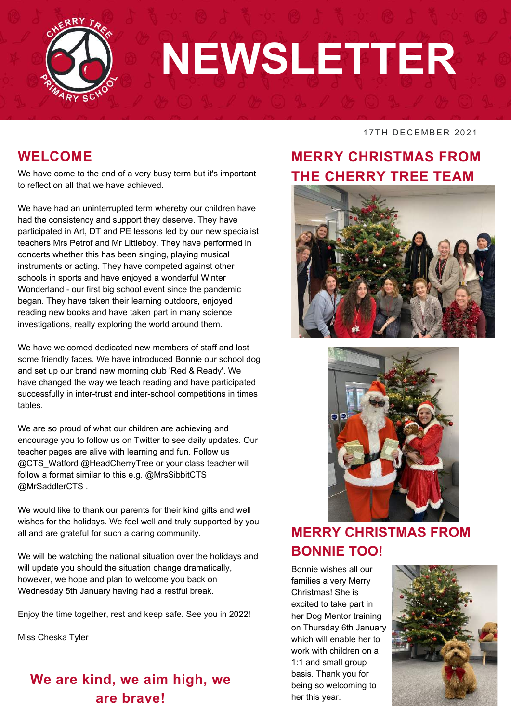

# **NEWSLETTER**

#### **WELCOME**

We have come to the end of a very busy term but it's important to reflect on all that we have achieved.

We have had an uninterrupted term whereby our children have had the consistency and support they deserve. They have participated in Art, DT and PE lessons led by our new specialist teachers Mrs Petrof and Mr Littleboy. They have performed in concerts whether this has been singing, playing musical instruments or acting. They have competed against other schools in sports and have enjoyed a wonderful Winter Wonderland - our first big school event since the pandemic began. They have taken their learning outdoors, enjoyed reading new books and have taken part in many science investigations, really exploring the world around them.

We have welcomed dedicated new members of staff and lost some friendly faces. We have introduced Bonnie our school dog and set up our brand new morning club 'Red & Ready'. We have changed the way we teach reading and have participated successfully in inter-trust and inter-school competitions in times tables.

We are so proud of what our children are achieving and encourage you to follow us on Twitter to see daily updates. Our teacher pages are alive with learning and fun. Follow us @CTS\_Watford @HeadCherryTree or your class teacher will follow a format similar to this e.g. @MrsSibbitCTS @MrSaddlerCTS .

We would like to thank our parents for their kind gifts and well wishes for the holidays. We feel well and truly supported by you all and are grateful for such a caring community.

We will be watching the national situation over the holidays and will update you should the situation change dramatically, however, we hope and plan to welcome you back on Wednesday 5th January having had a restful break.

Enjoy the time together, rest and keep safe. See you in 2022!

Miss Cheska Tyler

# **We are kind, we aim high, we are brave!**

#### 17TH DECEMBER 2021

# **MERRY CHRISTMAS FROM THE CHERRY TREE TEAM**





# **MERRY CHRISTMAS FROM BONNIE TOO!**

Bonnie wishes all our families a very Merry Christmas! She is excited to take part in her Dog Mentor training on Thursday 6th January which will enable her to work with children on a 1:1 and small group basis. Thank you for being so welcoming to her this year.

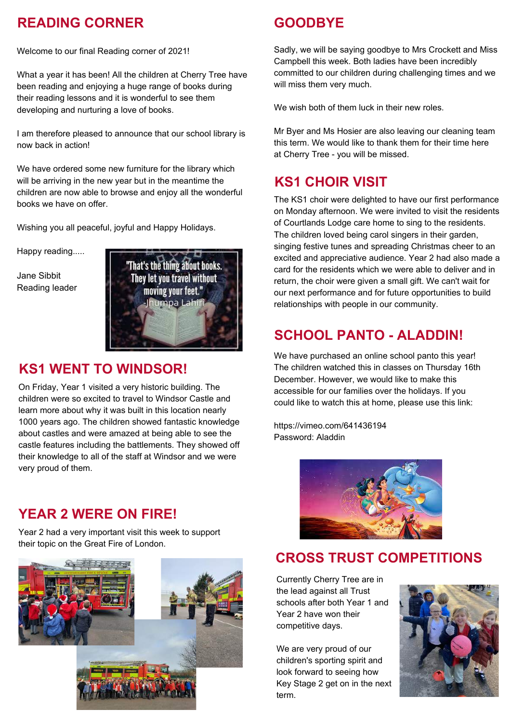# **READING CORNER**

Welcome to our final Reading corner of 2021!

What a year it has been! All the children at Cherry Tree have been reading and enjoying a huge range of books during their reading lessons and it is wonderful to see them developing and nurturing a love of books.

I am therefore pleased to announce that our school library is now back in action!

We have ordered some new furniture for the library which will be arriving in the new year but in the meantime the children are now able to browse and enjoy all the wonderful books we have on offer.

Wishing you all peaceful, joyful and Happy Holidays.

Happy reading.....

Jane Sibbit Reading leader



#### **KS1 WENT TO WINDSOR!**

On Friday, Year 1 visited a very historic building. The children were so excited to travel to Windsor Castle and learn more about why it was built in this location nearly 1000 years ago. The children showed fantastic knowledge about castles and were amazed at being able to see the castle features including the battlements. They showed off their knowledge to all of the staff at Windsor and we were very proud of them.

#### **YEAR 2 WERE ON FIRE!**

Year 2 had a very important visit this week to support their topic on the Great Fire of London.



## **GOODBYE**

Sadly, we will be saying goodbye to Mrs Crockett and Miss Campbell this week. Both ladies have been incredibly committed to our children during challenging times and we will miss them very much.

We wish both of them luck in their new roles.

Mr Byer and Ms Hosier are also leaving our cleaning team this term. We would like to thank them for their time here at Cherry Tree - you will be missed.

## **KS1 CHOIR VISIT**

The KS1 choir were delighted to have our first performance on Monday afternoon. We were invited to visit the residents of Courtlands Lodge care home to sing to the residents. The children loved being carol singers in their garden, singing festive tunes and spreading Christmas cheer to an excited and appreciative audience. Year 2 had also made a card for the residents which we were able to deliver and in return, the choir were given a small gift. We can't wait for our next performance and for future opportunities to build relationships with people in our community.

## **SCHOOL PANTO - ALADDIN!**

We have purchased an online school panto this year! The children watched this in classes on Thursday 16th December. However, we would like to make this accessible for our families over the holidays. If you could like to watch this at home, please use this link:

<https://vimeo.com/641436194> Password: Aladdin



#### **CROSS TRUST COMPETITIONS**

Currently Cherry Tree are in the lead against all Trust schools after both Year 1 and Year 2 have won their competitive days.

We are very proud of our children's sporting spirit and look forward to seeing how Key Stage 2 get on in the next term.

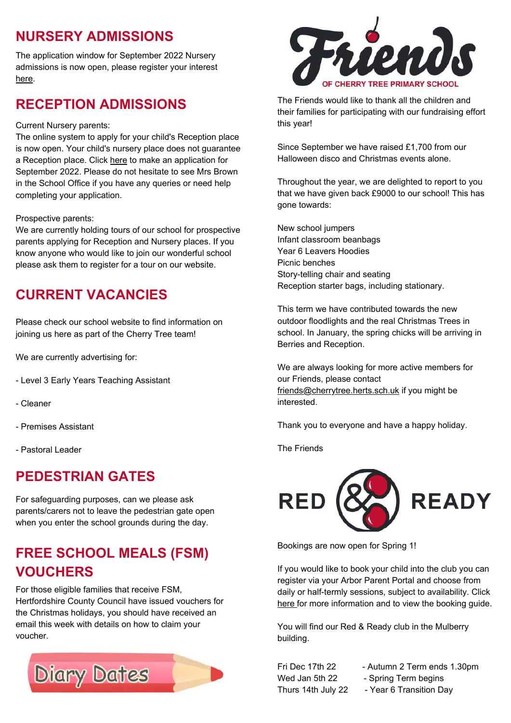# **NURSERY ADMISSIONS**

The application window for September 2022 Nursery admissions is now open, please register your interest [here.](https://forms.office.com/r/0dupw0CY0E)

#### **RECEPTION ADMISSIONS**

#### Current Nursery [parents:](https://cherry-tree-primary.uk.arbor.sc/)

The online system to apply for your child's Reception place is now open. Your child's nursery place does not guarantee a Reception place. Click [here](https://www.hertfordshire.gov.uk/services/schools-and-education/school-admissions/primary-junior-and-middle-schools/primary-junior-and-middle-school-places.aspx) to make an [application](https://cherry-tree-primary.uk.arbor.sc/) for September 2022. Please do not hesitate to see Mrs Brown in the School Office if you have any queries or need help completing your [application.](https://cherry-tree-primary.uk.arbor.sc/)

#### [Prospective](https://cherry-tree-primary.uk.arbor.sc/) parents:

We are currently holding tours of our school for [prospective](https://cherry-tree-primary.uk.arbor.sc/) parents applying for Reception and Nursery places. If you know anyone who would like to join our wonderful school please ask them to register for a tour on our website.

# **CURRENT VACANCIES**

Please check our school website to find information on joining us here as part of the Cherry Tree team!

We are currently advertising for:

- Level 3 Early Years Teaching Assistant
- Cleaner
- Premises Assistant
- Pastoral Leader

#### **PEDESTRIAN GATES**

For safeguarding purposes, can we please ask parents/carers not to leave the pedestrian gate open when you enter the school grounds during the day.

# **FREE SCHOOL MEALS (FSM) VOUCHERS**

For those eligible families that receive FSM, Hertfordshire County Council have issued vouchers for the Christmas holidays, you should have received an email this week with details on how to claim your voucher.





The Friends would like to thank all the children and their families for participating with our fundraising effort this year!

Since September we have raised £1,700 from our Halloween disco and Christmas events alone.

Throughout the year, we are delighted to report to you that we have given back £9000 to our school! This has gone towards:

New school jumpers Infant classroom beanbags Year 6 Leavers Hoodies Picnic benches Story-telling chair and seating Reception starter bags, including stationary.

This term we have contributed towards the new outdoor floodlights and the real Christmas Trees in school. In January, the spring chicks will be arriving in Berries and Reception.

We are always looking for more active members for our Friends, please contact [friends@cherrytree.herts.sch.uk](mailto:friends@cherrytree.herts.sch.uk) if you might be interested.

Thank you to everyone and have a happy holiday.

The Friends



Bookings are now open for Spring 1!

If you would like to book your child into the club you can register via your Arbor Parent Portal and choose from daily or half-termly sessions, subject to availability. Click [here](https://www.cherrytree.herts.sch.uk/attachments/download.asp?file=934&type=pdf) for more information and to view the booking guide.

You will find our Red & Ready club in the Mulberry building.

Wed Jan 5th 22 - Spring Term begins

- Fri Dec 17th 22 Autumn 2 Term ends 1.30pm
	-
- Thurs 14th July 22 Year 6 Transition Day